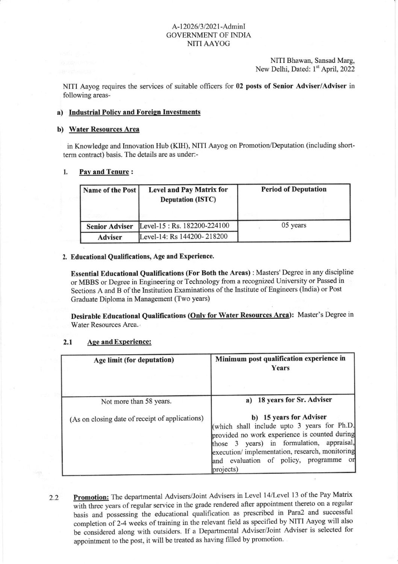# A-12026/3/2021-AdminI GOVERNMENTOF INDIA NITI AAYOG

NITI Bhawan, Sansad Marg, New Delhi, Dated: 1<sup>st</sup> April, 2022

NITI Aayog requires the services of suitable officers for 02 posts of Senior Adviser/Adviser in following areas-

## a) Industrial Policy and Foreign Investments

## b) Water Resources Area

in Knowledge and Innovation Hub (KIH), NITI Aayog on Promotion/Deputation (including shortterm contract) basis. The details are as under:-

## 1. Pay and Tenure :

| Name of the Post      | <b>Level and Pay Matrix for</b><br><b>Deputation (ISTC)</b> | <b>Period of Deputation</b> |
|-----------------------|-------------------------------------------------------------|-----------------------------|
| <b>Senior Adviser</b> | Level-15 : Rs. 182200-224100                                | 05 years                    |
| <b>Adviser</b>        | Level-14: Rs 144200-218200                                  |                             |

## 2. Educational Qualifications, Age and Experience.

Essential Educational Qualifications (For Both the Areas) : Masters' Degree in any discipline or MBBS or Degree in Engineering or Technology from a recognized University or Passed in Sections A and B of the Institution Examinations of the Institute of Engineers (India) or Post Graduate Diploma in Management (Two years)

Desirable Educational Qualifications (Onlv for Water Resources Area): Master's Degree in Water Resources Area.

## 2.1 Age and Experience:

| Age limit (for deputation)                      | Minimum post qualification experience in<br>Years                                                                                                                                                                                                                                 |
|-------------------------------------------------|-----------------------------------------------------------------------------------------------------------------------------------------------------------------------------------------------------------------------------------------------------------------------------------|
| Not more than 58 years.                         | 18 years for Sr. Adviser<br>a)                                                                                                                                                                                                                                                    |
| (As on closing date of receipt of applications) | b) 15 years for Adviser<br>(which shall include upto 3 years for Ph.D.<br>provided no work experience is counted during<br>those 3 years) in formulation, appraisal,<br>execution/implementation, research, monitoring<br>and evaluation of policy, programme<br>orl<br>projects) |

Promotion: The departmental Advisers/Joint Advisers in Level 14/Level 13 of the Pay Matrix be considered along with outsiders. If a Departmental Adviser/Joint Adviser is selected for with three years of regular service in the grade rendered after appointment thereto on a regular basis and'possessing the educational qualification as prescribed in Para2 and successful completion of 2-4 weeks of training in the relevant field as specified by NITI Aayog will also appointment to the post, it will be treated as having filled by promotion. 2.2